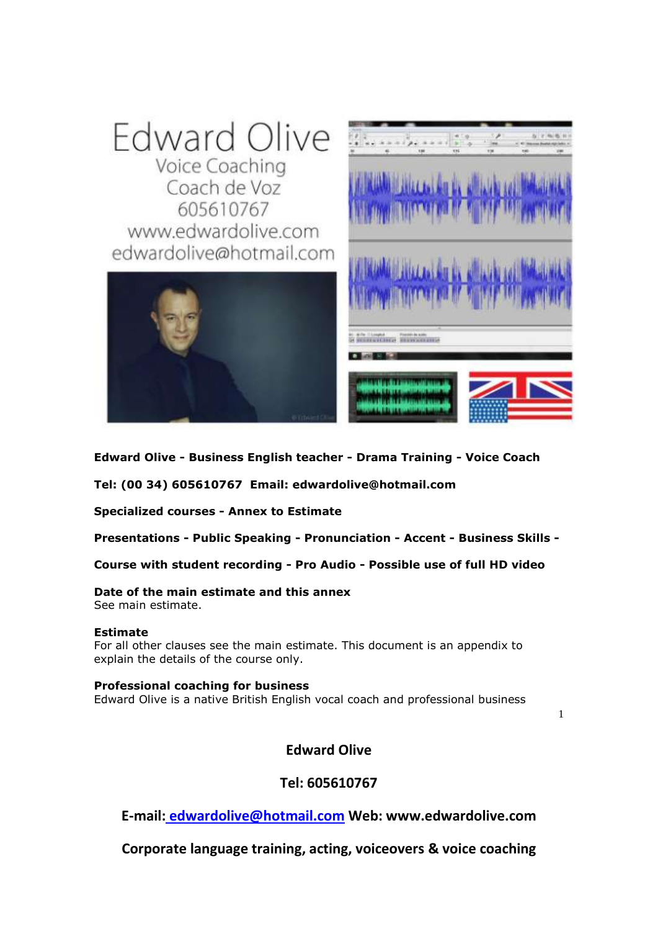

**Edward Olive - Business English teacher - Drama Training - Voice Coach**

**Tel: [\(00 34\) 605610767](tel:605610767) Email: [edwardolive@hotmail.com](mailto:edwardolive@hotmail.com)**

**Specialized courses - Annex to Estimate**

**Presentations - Public Speaking - Pronunciation - Accent - Business Skills -**

**Course with student recording - Pro Audio - Possible use of full HD video** 

# **Date of the main estimate and this annex**

See main estimate.

# **Estimate**

For all other clauses see the main estimate. This document is an appendix to explain the details of the course only.

# **Professional coaching for business**

Edward Olive is a native British English vocal coach and professional business

**Edward Olive** 

1

# **Tel: 605610767**

**E-mail: [edwardolive@hotmail.com](mailto:Edwardolive@hotmail.com) Web: www.edwardolive.com**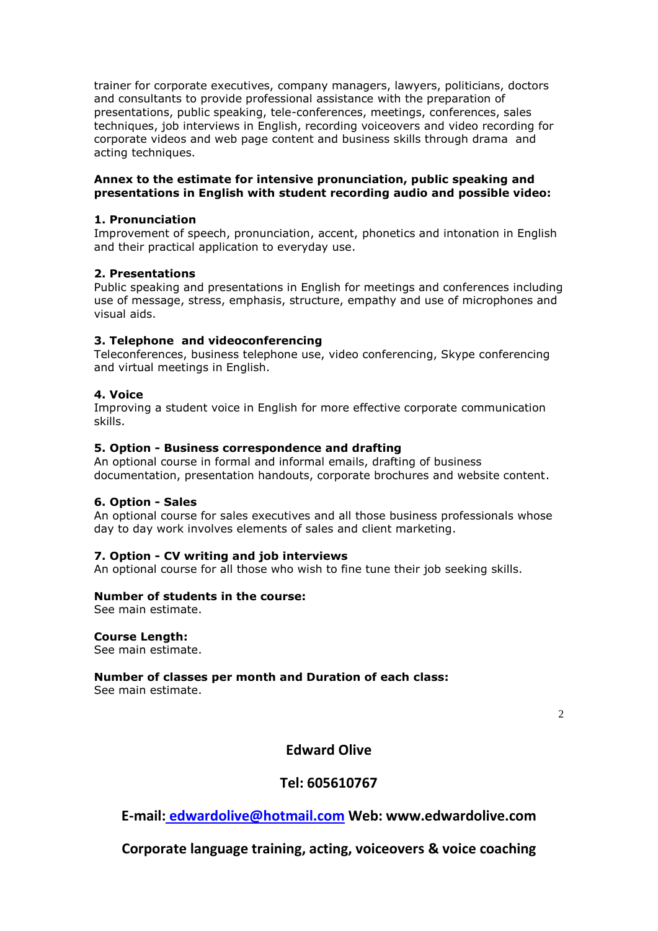trainer for corporate executives, company managers, lawyers, politicians, doctors and consultants to provide professional assistance with the preparation of presentations, public speaking, tele-conferences, meetings, conferences, sales techniques, job interviews in English, recording voiceovers and video recording for corporate videos and web page content and business skills through drama and acting techniques.

# **Annex to the estimate for intensive pronunciation, public speaking and presentations in English with student recording audio and possible video:**

# **1. Pronunciation**

Improvement of speech, pronunciation, accent, phonetics and intonation in English and their practical application to everyday use.

# **2. Presentations**

Public speaking and presentations in English for meetings and conferences including use of message, stress, emphasis, structure, empathy and use of microphones and visual aids.

# **3. Telephone and videoconferencing**

Teleconferences, business telephone use, video conferencing, Skype conferencing and virtual meetings in English.

# **4. Voice**

Improving a student voice in English for more effective corporate communication skills.

# **5. Option - Business correspondence and drafting**

An optional course in formal and informal emails, drafting of business documentation, presentation handouts, corporate brochures and website content.

# **6. Option - Sales**

An optional course for sales executives and all those business professionals whose day to day work involves elements of sales and client marketing.

# **7. Option - CV writing and job interviews**

An optional course for all those who wish to fine tune their job seeking skills.

# **Number of students in the course:**

See main estimate.

# **Course Length:**

See main estimate.

# **Number of classes per month and Duration of each class:**

See main estimate.

2

# **Edward Olive**

# **Tel: 605610767**

**E-mail: [edwardolive@hotmail.com](mailto:Edwardolive@hotmail.com) Web: www.edwardolive.com**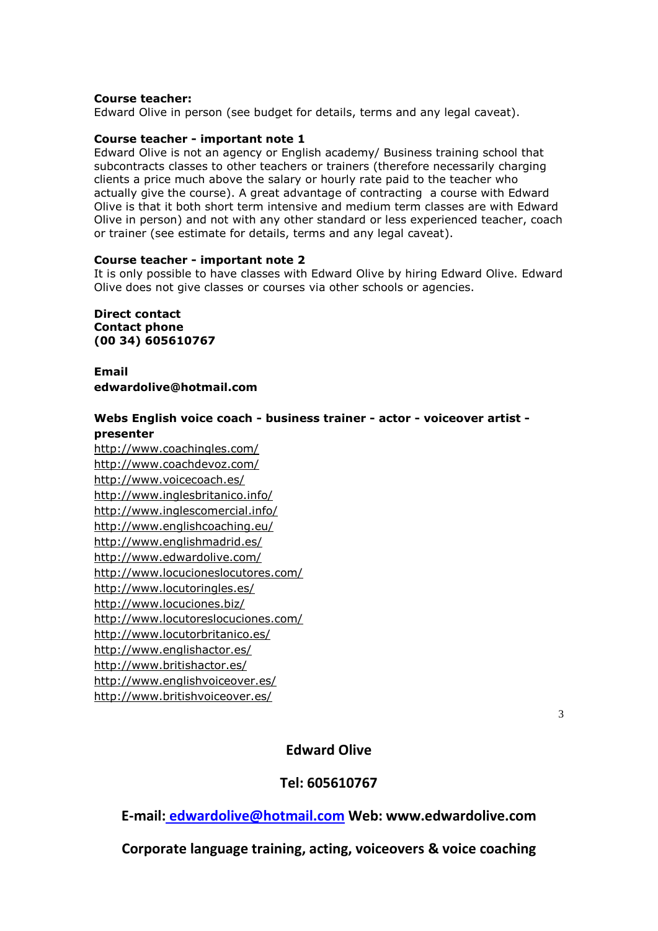# **Course teacher:**

Edward Olive in person (see budget for details, terms and any legal caveat).

#### **Course teacher - important note 1**

Edward Olive is not an agency or English academy/ Business training school that subcontracts classes to other teachers or trainers (therefore necessarily charging clients a price much above the salary or hourly rate paid to the teacher who actually give the course). A great advantage of contracting a course with Edward Olive is that it both short term intensive and medium term classes are with Edward Olive in person) and not with any other standard or less experienced teacher, coach or trainer (see estimate for details, terms and any legal caveat).

#### **Course teacher - important note 2**

It is only possible to have classes with Edward Olive by hiring Edward Olive. Edward Olive does not give classes or courses via other schools or agencies.

**Direct contact Contact phone [\(00 34\) 605610767](tel:605610767)**

**Email [edwardolive@hotmail.com](mailto:edwardolive@hotmail.com)**

# **Webs English voice coach - business trainer - actor - voiceover artist -**

#### **presenter**

<http://www.coachingles.com/> <http://www.coachdevoz.com/> <http://www.voicecoach.es/> <http://www.inglesbritanico.info/> <http://www.inglescomercial.info/> <http://www.englishcoaching.eu/> <http://www.englishmadrid.es/> <http://www.edwardolive.com/> <http://www.locucioneslocutores.com/> <http://www.locutoringles.es/> <http://www.locuciones.biz/> <http://www.locutoreslocuciones.com/> <http://www.locutorbritanico.es/> <http://www.englishactor.es/> <http://www.britishactor.es/> <http://www.englishvoiceover.es/> <http://www.britishvoiceover.es/>

3

# **Edward Olive**

# **Tel: 605610767**

**E-mail: [edwardolive@hotmail.com](mailto:Edwardolive@hotmail.com) Web: www.edwardolive.com**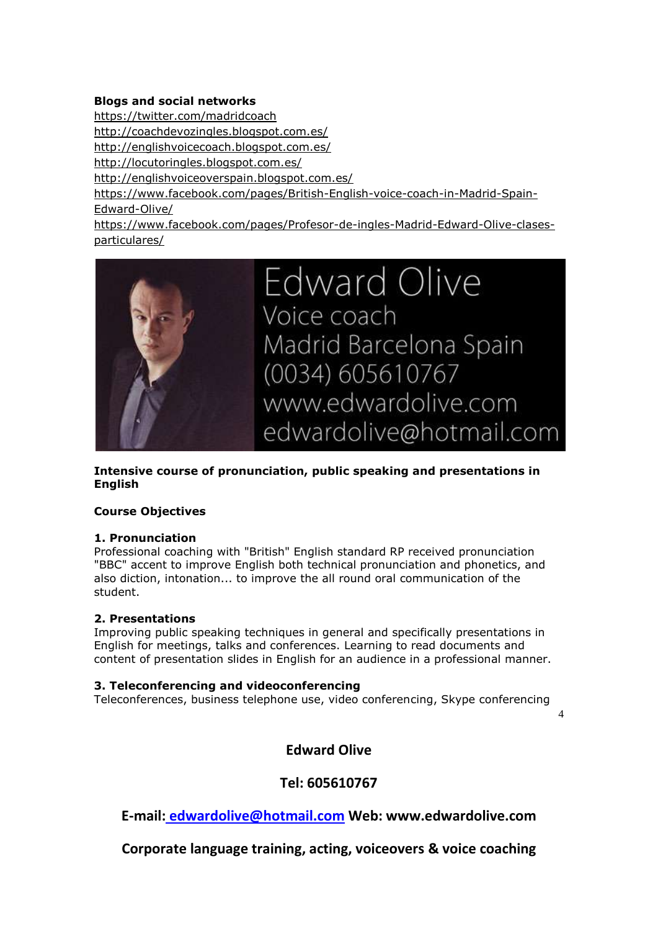# **Blogs and social networks**

<https://twitter.com/madridcoach> <http://coachdevozingles.blogspot.com.es/> <http://englishvoicecoach.blogspot.com.es/> <http://locutoringles.blogspot.com.es/> <http://englishvoiceoverspain.blogspot.com.es/> [https://www.facebook.com/pages/British-English-voice-coach-in-Madrid-Spain-](https://www.facebook.com/pages/British-English-voice-coach-in-Madrid-Spain-Edward-Olive/)[Edward-Olive/](https://www.facebook.com/pages/British-English-voice-coach-in-Madrid-Spain-Edward-Olive/) [https://www.facebook.com/pages/Profesor-de-ingles-Madrid-Edward-Olive-clases](https://www.facebook.com/pages/Profesor-de-ingles-Madrid-Edward-Olive-clases-particulares/)[particulares/](https://www.facebook.com/pages/Profesor-de-ingles-Madrid-Edward-Olive-clases-particulares/)



# **Intensive course of pronunciation, public speaking and presentations in English**

# **Course Objectives**

# **1. Pronunciation**

Professional coaching with "British" English standard RP received pronunciation "BBC" accent to improve English both technical pronunciation and phonetics, and also diction, intonation... to improve the all round oral communication of the student.

# **2. Presentations**

Improving public speaking techniques in general and specifically presentations in English for meetings, talks and conferences. Learning to read documents and content of presentation slides in English for an audience in a professional manner.

# **3. Teleconferencing and videoconferencing**

Teleconferences, business telephone use, video conferencing, Skype conferencing

4

**Edward Olive** 

# **Tel: 605610767**

**E-mail: [edwardolive@hotmail.com](mailto:Edwardolive@hotmail.com) Web: www.edwardolive.com**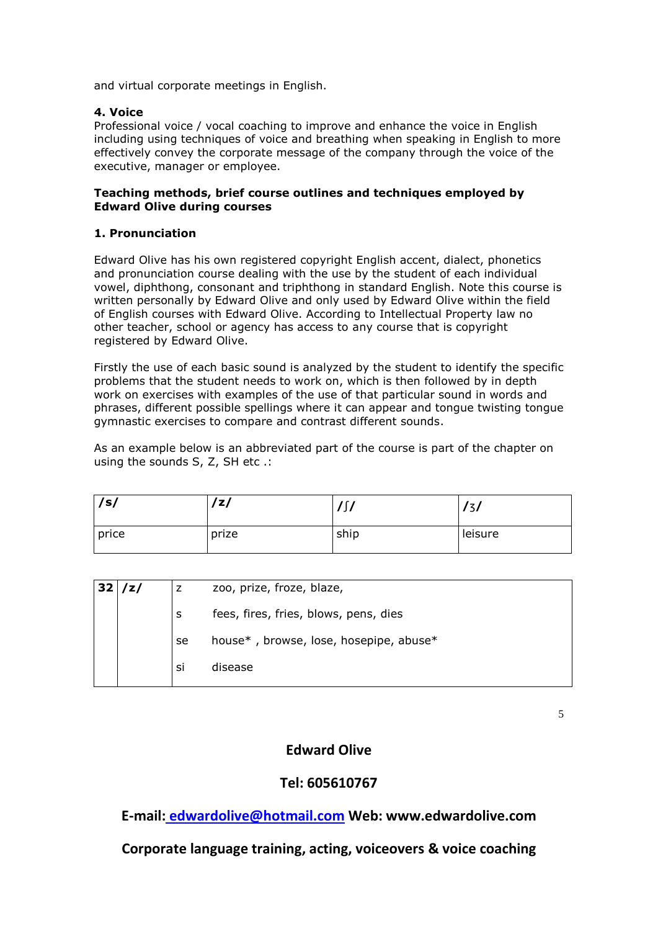and virtual corporate meetings in English.

# **4. Voice**

Professional voice / vocal coaching to improve and enhance the voice in English including using techniques of voice and breathing when speaking in English to more effectively convey the corporate message of the company through the voice of the executive, manager or employee.

# **Teaching methods, brief course outlines and techniques employed by Edward Olive during courses**

#### **1. Pronunciation**

Edward Olive has his own registered copyright English accent, dialect, phonetics and pronunciation course dealing with the use by the student of each individual vowel, diphthong, consonant and triphthong in standard English. Note this course is written personally by Edward Olive and only used by Edward Olive within the field of English courses with Edward Olive. According to Intellectual Property law no other teacher, school or agency has access to any course that is copyright registered by Edward Olive.

Firstly the use of each basic sound is analyzed by the student to identify the specific problems that the student needs to work on, which is then followed by in depth work on exercises with examples of the use of that particular sound in words and phrases, different possible spellings where it can appear and tongue twisting tongue gymnastic exercises to compare and contrast different sounds.

As an example below is an abbreviated part of the course is part of the chapter on using the sounds S, Z, SH etc .:

| /s/   | 'z/   | ، م<br>,,, | ٠,<br>ر د |
|-------|-------|------------|-----------|
| price | prize | ship       | leisure   |

| 32 | /z/ | z  | zoo, prize, froze, blaze,              |
|----|-----|----|----------------------------------------|
|    |     | s  | fees, fires, fries, blows, pens, dies  |
|    |     | se | house*, browse, lose, hosepipe, abuse* |
|    |     | si | disease                                |

5

# **Edward Olive**

# **Tel: 605610767**

**E-mail: [edwardolive@hotmail.com](mailto:Edwardolive@hotmail.com) Web: www.edwardolive.com**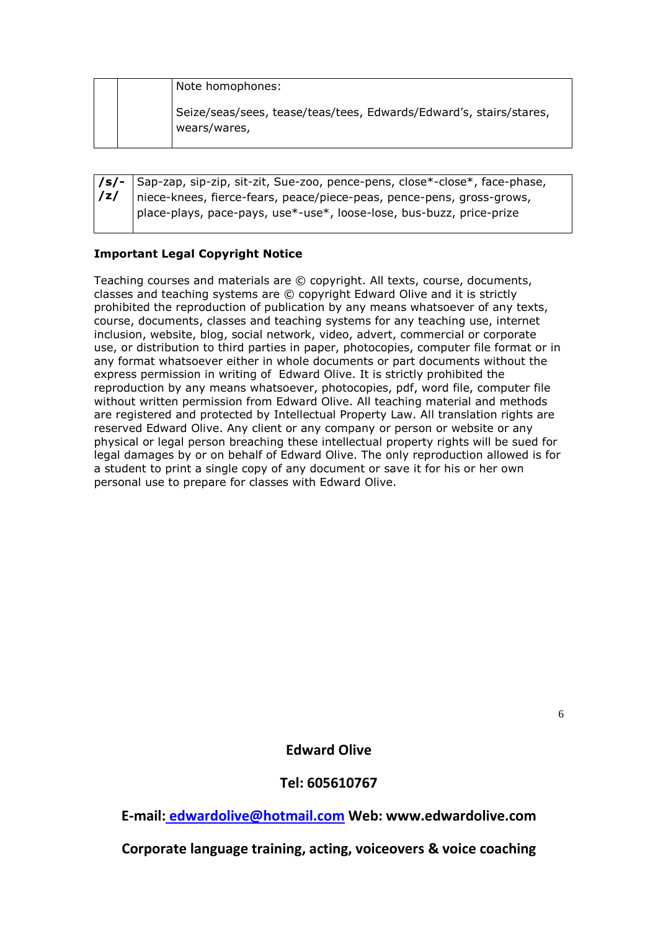|  | Note homophones:                                                                   |
|--|------------------------------------------------------------------------------------|
|  | Seize/seas/sees, tease/teas/tees, Edwards/Edward's, stairs/stares,<br>wears/wares, |

|   | $\sqrt{s}$   Sap-zap, sip-zip, sit-zit, Sue-zoo, pence-pens, close*-close*, face-phase, |
|---|-----------------------------------------------------------------------------------------|
| z | niece-knees, fierce-fears, peace/piece-peas, pence-pens, gross-grows,                   |
|   | place-plays, pace-pays, use*-use*, loose-lose, bus-buzz, price-prize                    |

# **Important Legal Copyright Notice**

Teaching courses and materials are © copyright. All texts, course, documents, classes and teaching systems are © copyright Edward Olive and it is strictly prohibited the reproduction of publication by any means whatsoever of any texts, course, documents, classes and teaching systems for any teaching use, internet inclusion, website, blog, social network, video, advert, commercial or corporate use, or distribution to third parties in paper, photocopies, computer file format or in any format whatsoever either in whole documents or part documents without the express permission in writing of Edward Olive. It is strictly prohibited the reproduction by any means whatsoever, photocopies, pdf, word file, computer file without written permission from Edward Olive. All teaching material and methods are registered and protected by Intellectual Property Law. All translation rights are reserved Edward Olive. Any client or any company or person or website or any physical or legal person breaching these intellectual property rights will be sued for legal damages by or on behalf of Edward Olive. The only reproduction allowed is for a student to print a single copy of any document or save it for his or her own personal use to prepare for classes with Edward Olive.

6

**Edward Olive** 

**Tel: 605610767**

**E-mail: [edwardolive@hotmail.com](mailto:Edwardolive@hotmail.com) Web: www.edwardolive.com**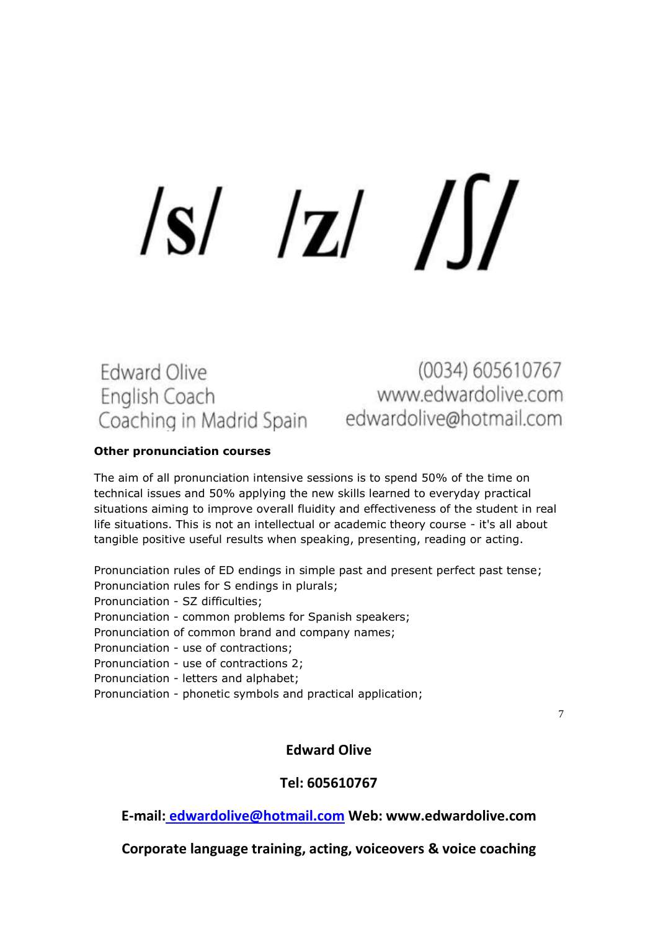# $|S|$   $|Z|$   $|$

# **Edward Olive** English Coach Coaching in Madrid Spain edwardolive@hotmail.com

(0034) 605610767 www.edwardolive.com

# **Other pronunciation courses**

The aim of all pronunciation intensive sessions is to spend 50% of the time on technical issues and 50% applying the new skills learned to everyday practical situations aiming to improve overall fluidity and effectiveness of the student in real life situations. This is not an intellectual or academic theory course - it's all about tangible positive useful results when speaking, presenting, reading or acting.

Pronunciation rules of ED endings in simple past and present perfect past tense; Pronunciation rules for S endings in plurals;

Pronunciation - SZ difficulties;

Pronunciation - common problems for Spanish speakers;

Pronunciation of common brand and company names;

Pronunciation - use of contractions;

Pronunciation - use of contractions 2;

Pronunciation - letters and alphabet;

Pronunciation - phonetic symbols and practical application;

7

# **Edward Olive**

# **Tel: 605610767**

**E-mail: [edwardolive@hotmail.com](mailto:Edwardolive@hotmail.com) Web: www.edwardolive.com**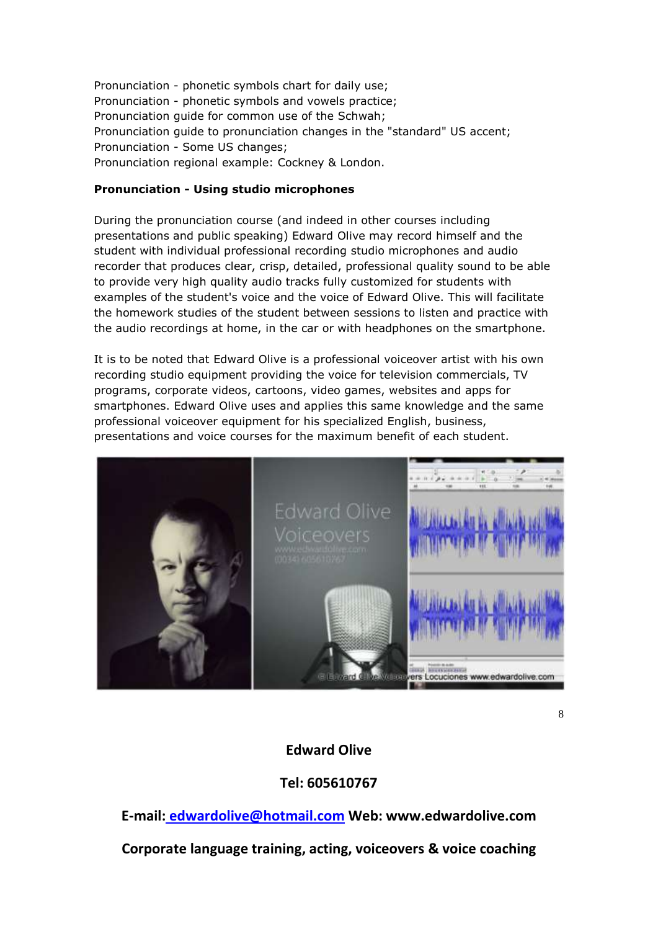Pronunciation - phonetic symbols chart for daily use; Pronunciation - phonetic symbols and vowels practice; Pronunciation guide for common use of the Schwah; Pronunciation guide to pronunciation changes in the "standard" US accent; Pronunciation - Some US changes; Pronunciation regional example: Cockney & London.

# **Pronunciation - Using studio microphones**

During the pronunciation course (and indeed in other courses including presentations and public speaking) Edward Olive may record himself and the student with individual professional recording studio microphones and audio recorder that produces clear, crisp, detailed, professional quality sound to be able to provide very high quality audio tracks fully customized for students with examples of the student's voice and the voice of Edward Olive. This will facilitate the homework studies of the student between sessions to listen and practice with the audio recordings at home, in the car or with headphones on the smartphone.

It is to be noted that Edward Olive is a professional voiceover artist with his own recording studio equipment providing the voice for television commercials, TV programs, corporate videos, cartoons, video games, websites and apps for smartphones. Edward Olive uses and applies this same knowledge and the same professional voiceover equipment for his specialized English, business, presentations and voice courses for the maximum benefit of each student.



8

# **Edward Olive**

**Tel: 605610767**

**E-mail: [edwardolive@hotmail.com](mailto:Edwardolive@hotmail.com) Web: www.edwardolive.com**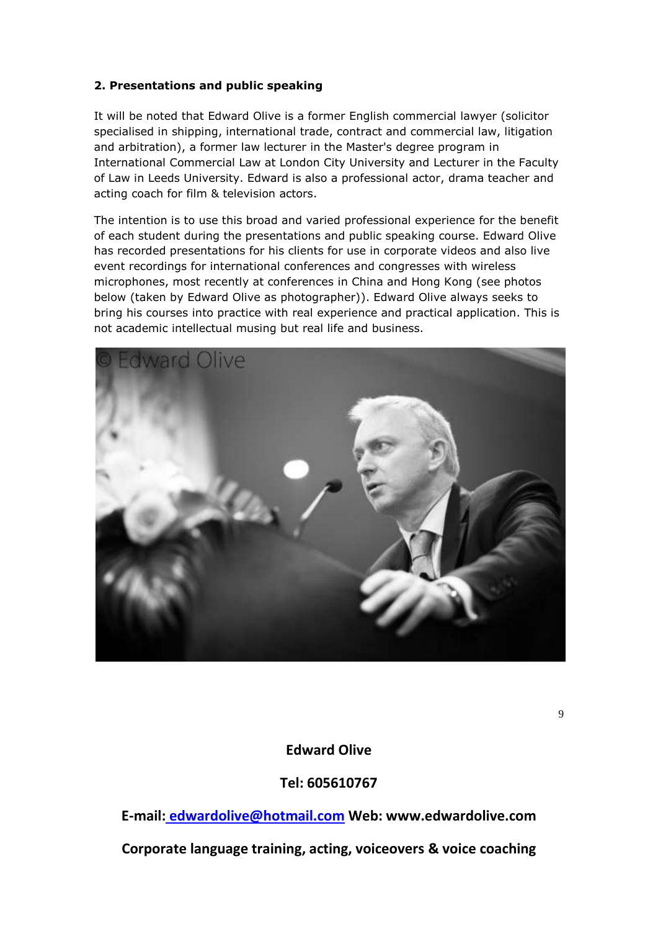# **2. Presentations and public speaking**

It will be noted that Edward Olive is a former English commercial lawyer (solicitor specialised in shipping, international trade, contract and commercial law, litigation and arbitration), a former law lecturer in the Master's degree program in International Commercial Law at London City University and Lecturer in the Faculty of Law in Leeds University. Edward is also a professional actor, drama teacher and acting coach for film & television actors.

The intention is to use this broad and varied professional experience for the benefit of each student during the presentations and public speaking course. Edward Olive has recorded presentations for his clients for use in corporate videos and also live event recordings for international conferences and congresses with wireless microphones, most recently at conferences in China and Hong Kong (see photos below (taken by Edward Olive as photographer)). Edward Olive always seeks to bring his courses into practice with real experience and practical application. This is not academic intellectual musing but real life and business.



9

# **Edward Olive**

# **Tel: 605610767**

**E-mail: [edwardolive@hotmail.com](mailto:Edwardolive@hotmail.com) Web: www.edwardolive.com Corporate language training, acting, voiceovers & voice coaching**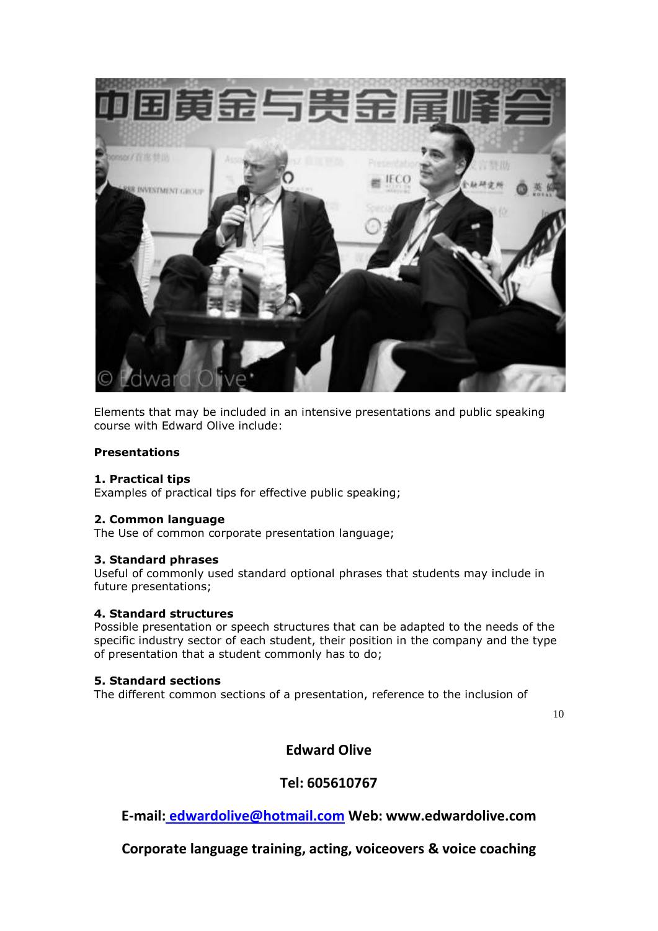

Elements that may be included in an intensive presentations and public speaking course with Edward Olive include:

# **Presentations**

# **1. Practical tips**

Examples of practical tips for effective public speaking;

# **2. Common language**

The Use of common corporate presentation language;

# **3. Standard phrases**

Useful of commonly used standard optional phrases that students may include in future presentations;

# **4. Standard structures**

Possible presentation or speech structures that can be adapted to the needs of the specific industry sector of each student, their position in the company and the type of presentation that a student commonly has to do;

# **5. Standard sections**

The different common sections of a presentation, reference to the inclusion of

10

# **Edward Olive**

# **Tel: 605610767**

**E-mail: [edwardolive@hotmail.com](mailto:Edwardolive@hotmail.com) Web: www.edwardolive.com**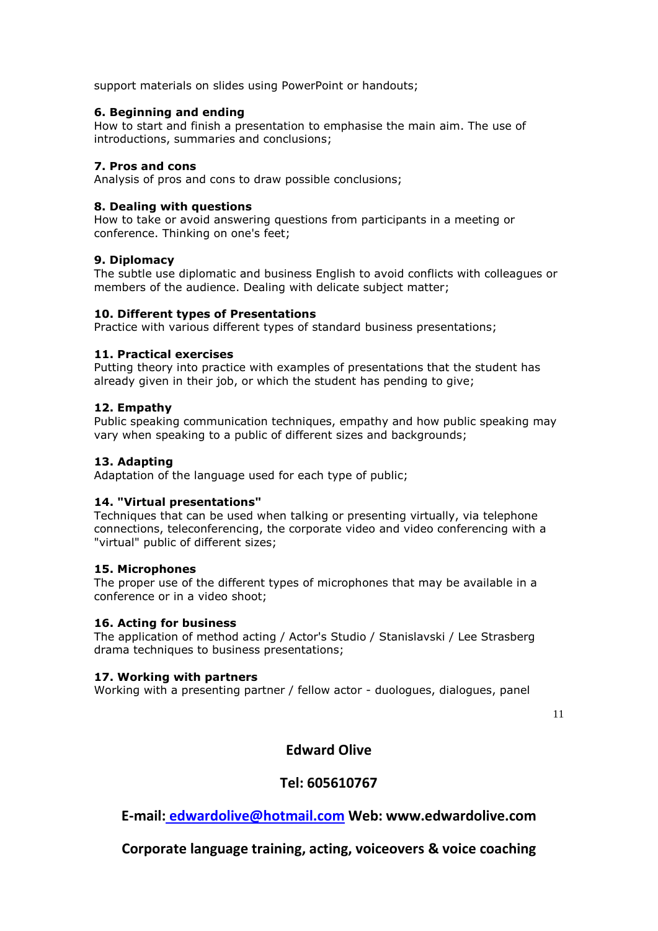support materials on slides using PowerPoint or handouts;

# **6. Beginning and ending**

How to start and finish a presentation to emphasise the main aim. The use of introductions, summaries and conclusions;

# **7. Pros and cons**

Analysis of pros and cons to draw possible conclusions;

# **8. Dealing with questions**

How to take or avoid answering questions from participants in a meeting or conference. Thinking on one's feet;

# **9. Diplomacy**

The subtle use diplomatic and business English to avoid conflicts with colleagues or members of the audience. Dealing with delicate subject matter;

# **10. Different types of Presentations**

Practice with various different types of standard business presentations;

# **11. Practical exercises**

Putting theory into practice with examples of presentations that the student has already given in their job, or which the student has pending to give;

# **12. Empathy**

Public speaking communication techniques, empathy and how public speaking may vary when speaking to a public of different sizes and backgrounds;

# **13. Adapting**

Adaptation of the language used for each type of public;

# **14. "Virtual presentations"**

Techniques that can be used when talking or presenting virtually, via telephone connections, teleconferencing, the corporate video and video conferencing with a "virtual" public of different sizes;

# **15. Microphones**

The proper use of the different types of microphones that may be available in a conference or in a video shoot;

# **16. Acting for business**

The application of method acting / Actor's Studio / Stanislavski / Lee Strasberg drama techniques to business presentations;

# **17. Working with partners**

Working with a presenting partner / fellow actor - duologues, dialogues, panel

11

# **Edward Olive**

# **Tel: 605610767**

**E-mail: [edwardolive@hotmail.com](mailto:Edwardolive@hotmail.com) Web: www.edwardolive.com**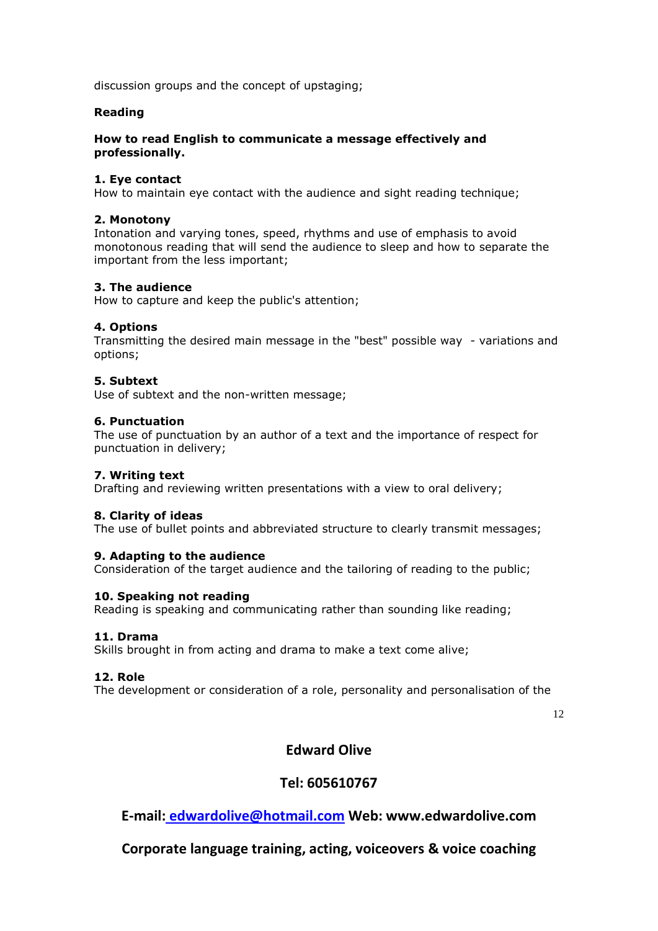discussion groups and the concept of upstaging;

# **Reading**

# **How to read English to communicate a message effectively and professionally.**

# **1. Eye contact**

How to maintain eye contact with the audience and sight reading technique;

# **2. Monotony**

Intonation and varying tones, speed, rhythms and use of emphasis to avoid monotonous reading that will send the audience to sleep and how to separate the important from the less important;

# **3. The audience**

How to capture and keep the public's attention;

# **4. Options**

Transmitting the desired main message in the "best" possible way - variations and options;

# **5. Subtext**

Use of subtext and the non-written message;

# **6. Punctuation**

The use of punctuation by an author of a text and the importance of respect for punctuation in delivery;

# **7. Writing text**

Drafting and reviewing written presentations with a view to oral delivery;

# **8. Clarity of ideas**

The use of bullet points and abbreviated structure to clearly transmit messages;

# **9. Adapting to the audience**

Consideration of the target audience and the tailoring of reading to the public;

# **10. Speaking not reading**

Reading is speaking and communicating rather than sounding like reading;

# **11. Drama**

Skills brought in from acting and drama to make a text come alive;

# **12. Role**

The development or consideration of a role, personality and personalisation of the

12

# **Edward Olive**

# **Tel: 605610767**

**E-mail: [edwardolive@hotmail.com](mailto:Edwardolive@hotmail.com) Web: www.edwardolive.com**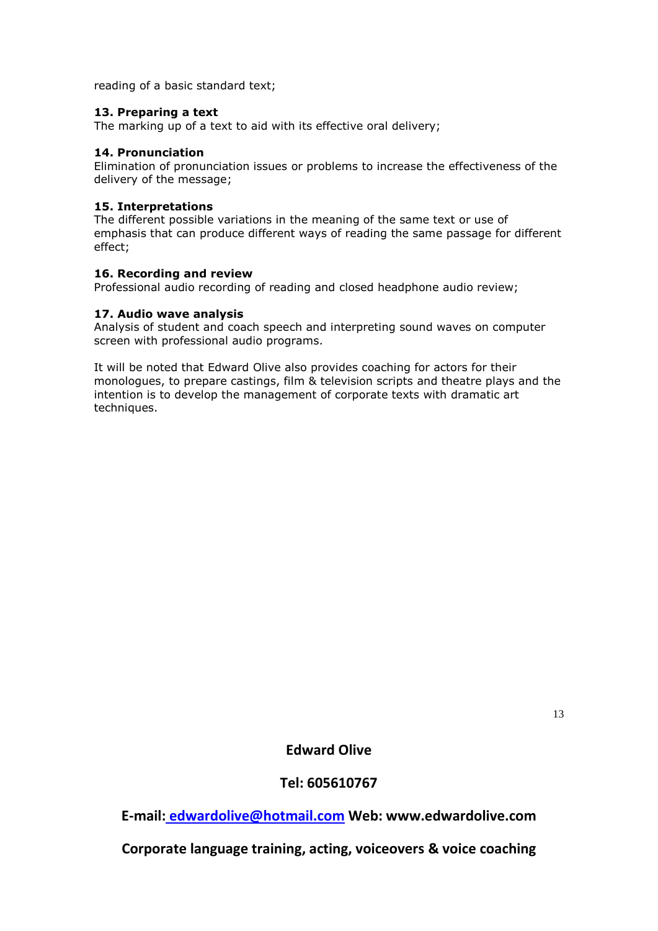reading of a basic standard text;

# **13. Preparing a text**

The marking up of a text to aid with its effective oral delivery;

# **14. Pronunciation**

Elimination of pronunciation issues or problems to increase the effectiveness of the delivery of the message;

#### **15. Interpretations**

The different possible variations in the meaning of the same text or use of emphasis that can produce different ways of reading the same passage for different effect;

#### **16. Recording and review**

Professional audio recording of reading and closed headphone audio review;

#### **17. Audio wave analysis**

Analysis of student and coach speech and interpreting sound waves on computer screen with professional audio programs.

It will be noted that Edward Olive also provides coaching for actors for their monologues, to prepare castings, film & television scripts and theatre plays and the intention is to develop the management of corporate texts with dramatic art techniques.

13

# **Edward Olive**

# **Tel: 605610767**

**E-mail: [edwardolive@hotmail.com](mailto:Edwardolive@hotmail.com) Web: www.edwardolive.com**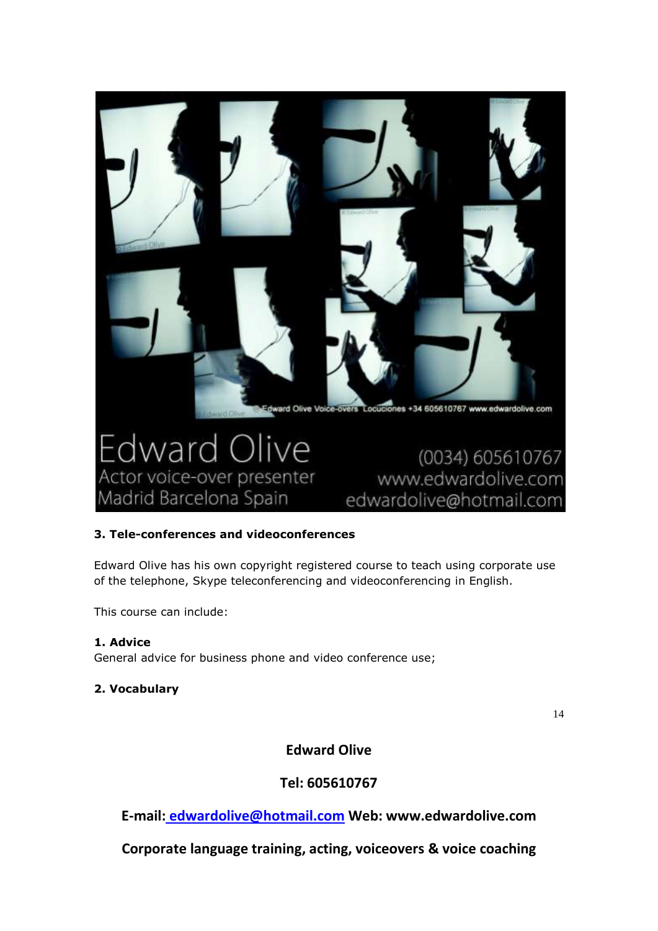

# **3. Tele-conferences and videoconferences**

Edward Olive has his own copyright registered course to teach using corporate use of the telephone, Skype teleconferencing and videoconferencing in English.

This course can include:

# **1. Advice**

General advice for business phone and video conference use;

# **2. Vocabulary**

14

**Edward Olive** 

# **Tel: 605610767**

**E-mail: [edwardolive@hotmail.com](mailto:Edwardolive@hotmail.com) Web: www.edwardolive.com**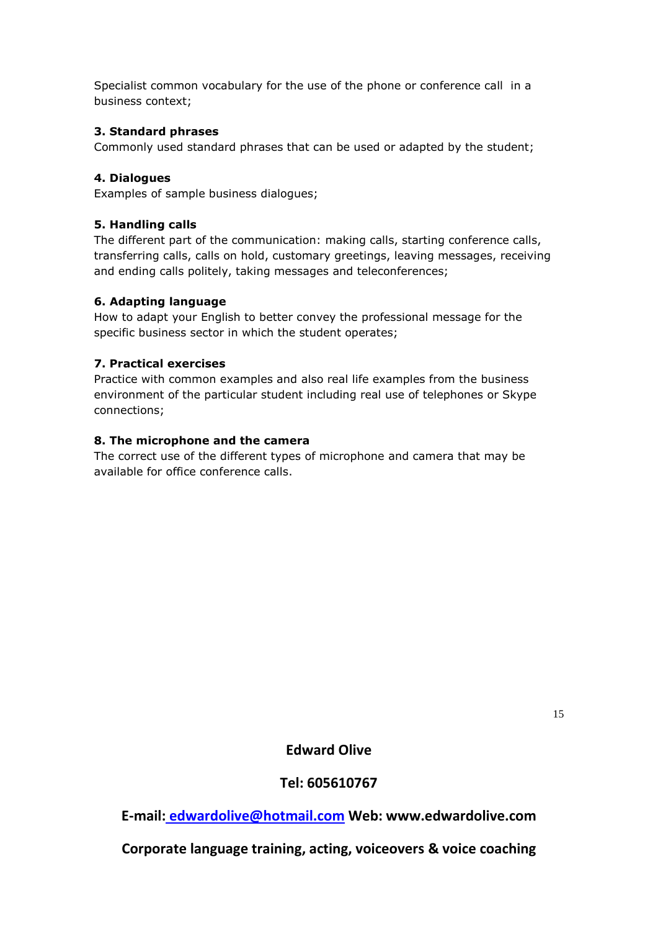Specialist common vocabulary for the use of the phone or conference call in a business context;

# **3. Standard phrases**

Commonly used standard phrases that can be used or adapted by the student;

# **4. Dialogues**

Examples of sample business dialogues;

# **5. Handling calls**

The different part of the communication: making calls, starting conference calls, transferring calls, calls on hold, customary greetings, leaving messages, receiving and ending calls politely, taking messages and teleconferences;

# **6. Adapting language**

How to adapt your English to better convey the professional message for the specific business sector in which the student operates;

# **7. Practical exercises**

Practice with common examples and also real life examples from the business environment of the particular student including real use of telephones or Skype connections;

# **8. The microphone and the camera**

The correct use of the different types of microphone and camera that may be available for office conference calls.

15

**Edward Olive** 

# **Tel: 605610767**

**E-mail: [edwardolive@hotmail.com](mailto:Edwardolive@hotmail.com) Web: www.edwardolive.com**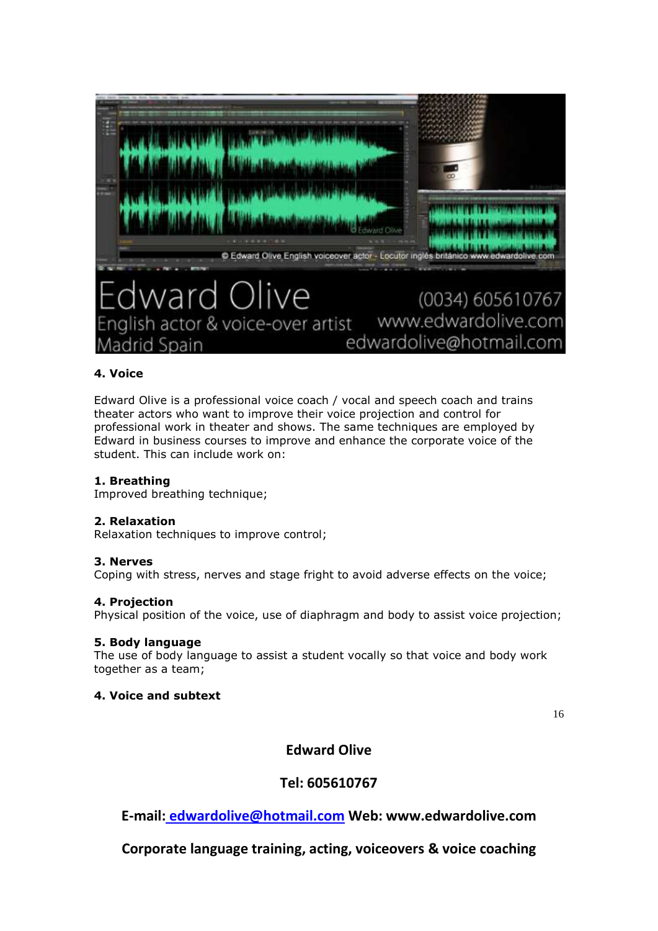

# **4. Voice**

Edward Olive is a professional voice coach / vocal and speech coach and trains theater actors who want to improve their voice projection and control for professional work in theater and shows. The same techniques are employed by Edward in business courses to improve and enhance the corporate voice of the student. This can include work on:

# **1. Breathing**

Improved breathing technique;

# **2. Relaxation**

Relaxation techniques to improve control;

# **3. Nerves**

Coping with stress, nerves and stage fright to avoid adverse effects on the voice;

# **4. Projection**

Physical position of the voice, use of diaphragm and body to assist voice projection;

# **5. Body language**

The use of body language to assist a student vocally so that voice and body work together as a team;

# **4. Voice and subtext**

16

# **Edward Olive**

# **Tel: 605610767**

**E-mail: [edwardolive@hotmail.com](mailto:Edwardolive@hotmail.com) Web: www.edwardolive.com**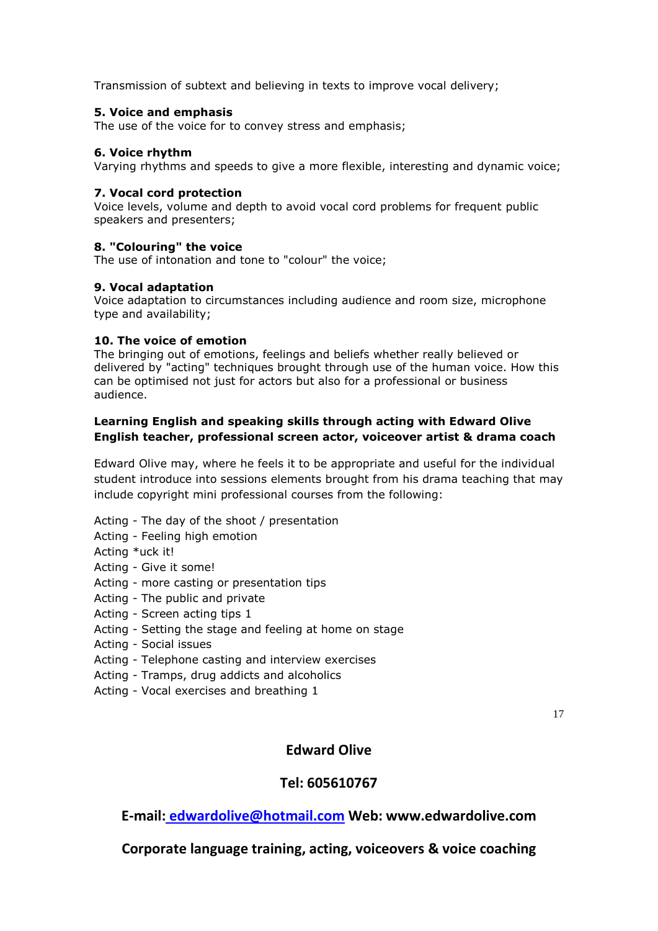Transmission of subtext and believing in texts to improve vocal delivery;

# **5. Voice and emphasis**

The use of the voice for to convey stress and emphasis;

# **6. Voice rhythm**

Varying rhythms and speeds to give a more flexible, interesting and dynamic voice;

# **7. Vocal cord protection**

Voice levels, volume and depth to avoid vocal cord problems for frequent public speakers and presenters;

# **8. "Colouring" the voice**

The use of intonation and tone to "colour" the voice;

# **9. Vocal adaptation**

Voice adaptation to circumstances including audience and room size, microphone type and availability;

# **10. The voice of emotion**

The bringing out of emotions, feelings and beliefs whether really believed or delivered by "acting" techniques brought through use of the human voice. How this can be optimised not just for actors but also for a professional or business audience.

# **Learning English and speaking skills through acting with Edward Olive English teacher, professional screen actor, voiceover artist & drama coach**

Edward Olive may, where he feels it to be appropriate and useful for the individual student introduce into sessions elements brought from his drama teaching that may include copyright mini professional courses from the following:

- Acting The day of the shoot / presentation
- Acting Feeling high emotion
- Acting \*uck it!
- Acting Give it some!
- Acting more casting or presentation tips
- Acting The public and private
- Acting Screen acting tips 1
- Acting Setting the stage and feeling at home on stage
- Acting Social issues
- Acting Telephone casting and interview exercises
- Acting Tramps, drug addicts and alcoholics
- Acting Vocal exercises and breathing 1

17

# **Edward Olive**

# **Tel: 605610767**

**E-mail: [edwardolive@hotmail.com](mailto:Edwardolive@hotmail.com) Web: www.edwardolive.com**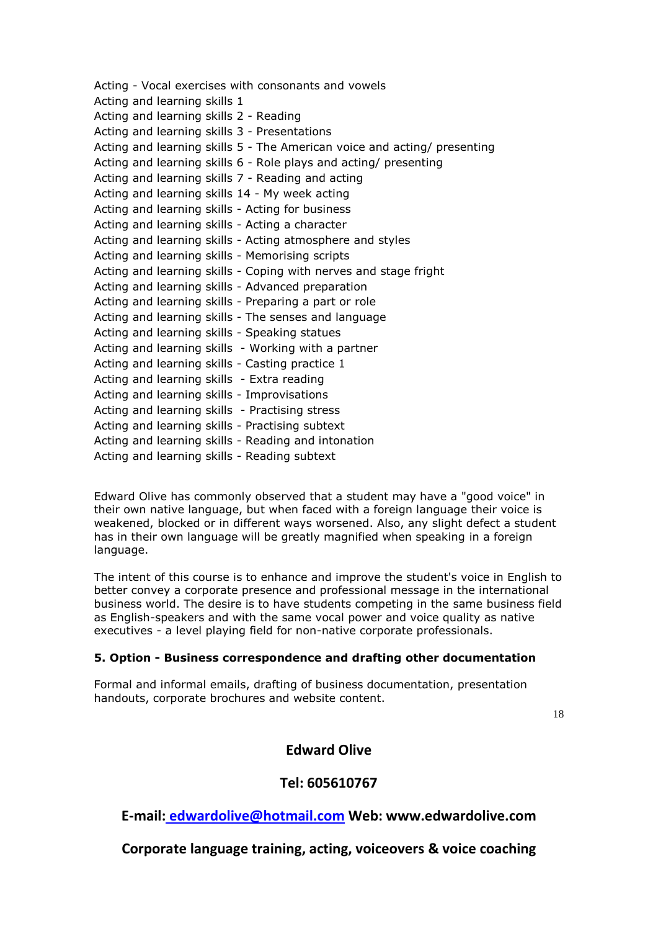Acting - Vocal exercises with consonants and vowels Acting and learning skills 1 Acting and learning skills 2 - Reading Acting and learning skills 3 - Presentations Acting and learning skills 5 - The American voice and acting/ presenting Acting and learning skills 6 - Role plays and acting/ presenting Acting and learning skills 7 - Reading and acting Acting and learning skills 14 - My week acting Acting and learning skills - Acting for business Acting and learning skills - Acting a character Acting and learning skills - Acting atmosphere and styles Acting and learning skills - Memorising scripts Acting and learning skills - Coping with nerves and stage fright Acting and learning skills - Advanced preparation Acting and learning skills - Preparing a part or role Acting and learning skills - The senses and language Acting and learning skills - Speaking statues Acting and learning skills - Working with a partner Acting and learning skills - Casting practice 1 Acting and learning skills - Extra reading Acting and learning skills - Improvisations Acting and learning skills - Practising stress Acting and learning skills - Practising subtext Acting and learning skills - Reading and intonation Acting and learning skills - Reading subtext

Edward Olive has commonly observed that a student may have a "good voice" in their own native language, but when faced with a foreign language their voice is weakened, blocked or in different ways worsened. Also, any slight defect a student has in their own language will be greatly magnified when speaking in a foreign language.

The intent of this course is to enhance and improve the student's voice in English to better convey a corporate presence and professional message in the international business world. The desire is to have students competing in the same business field as English-speakers and with the same vocal power and voice quality as native executives - a level playing field for non-native corporate professionals.

# **5. Option - Business correspondence and drafting other documentation**

Formal and informal emails, drafting of business documentation, presentation handouts, corporate brochures and website content.

18

# **Edward Olive**

# **Tel: 605610767**

**E-mail: [edwardolive@hotmail.com](mailto:Edwardolive@hotmail.com) Web: www.edwardolive.com**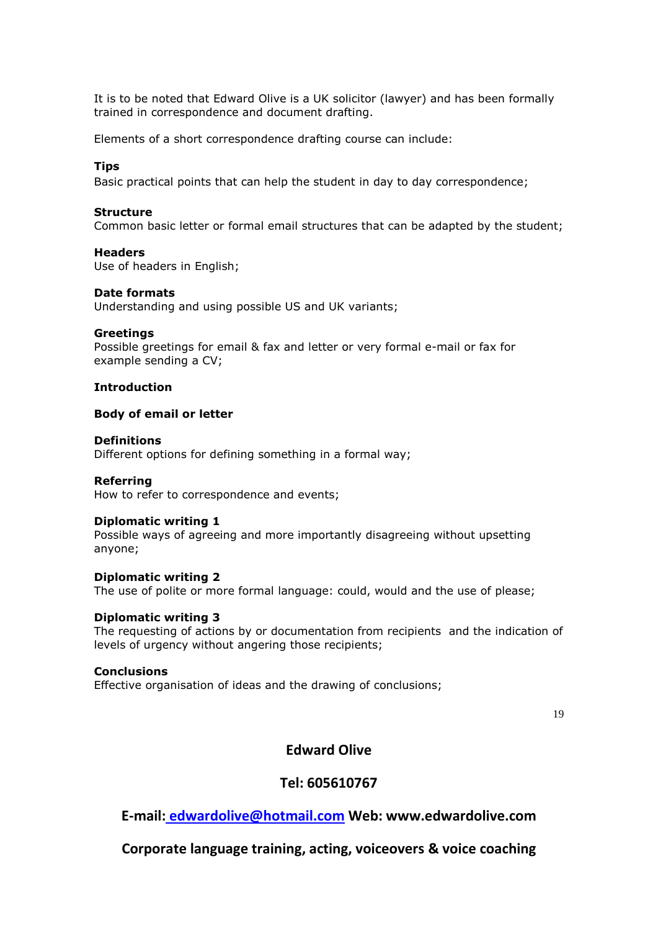It is to be noted that Edward Olive is a UK solicitor (lawyer) and has been formally trained in correspondence and document drafting.

Elements of a short correspondence drafting course can include:

#### **Tips**

Basic practical points that can help the student in day to day correspondence;

#### **Structure**

Common basic letter or formal email structures that can be adapted by the student;

#### **Headers**

Use of headers in English;

#### **Date formats**

Understanding and using possible US and UK variants;

#### **Greetings**

Possible greetings for email & fax and letter or very formal e-mail or fax for example sending a CV;

#### **Introduction**

#### **Body of email or letter**

#### **Definitions**

Different options for defining something in a formal way;

# **Referring**

How to refer to correspondence and events;

#### **Diplomatic writing 1**

Possible ways of agreeing and more importantly disagreeing without upsetting anyone;

#### **Diplomatic writing 2**

The use of polite or more formal language: could, would and the use of please;

#### **Diplomatic writing 3**

The requesting of actions by or documentation from recipients and the indication of levels of urgency without angering those recipients;

#### **Conclusions**

Effective organisation of ideas and the drawing of conclusions;

19

# **Edward Olive**

# **Tel: 605610767**

**E-mail: [edwardolive@hotmail.com](mailto:Edwardolive@hotmail.com) Web: www.edwardolive.com**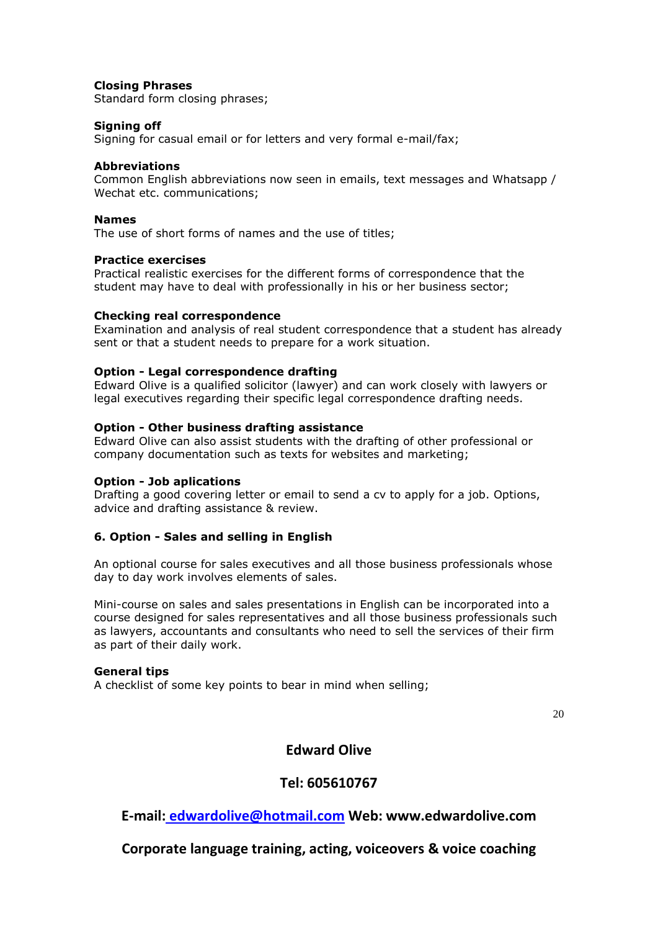# **Closing Phrases**

Standard form closing phrases;

# **Signing off**

Signing for casual email or for letters and very formal e-mail/fax;

# **Abbreviations**

Common English abbreviations now seen in emails, text messages and Whatsapp / Wechat etc. communications;

# **Names**

The use of short forms of names and the use of titles;

# **Practice exercises**

Practical realistic exercises for the different forms of correspondence that the student may have to deal with professionally in his or her business sector;

# **Checking real correspondence**

Examination and analysis of real student correspondence that a student has already sent or that a student needs to prepare for a work situation.

# **Option - Legal correspondence drafting**

Edward Olive is a qualified solicitor (lawyer) and can work closely with lawyers or legal executives regarding their specific legal correspondence drafting needs.

# **Option - Other business drafting assistance**

Edward Olive can also assist students with the drafting of other professional or company documentation such as texts for websites and marketing;

# **Option - Job aplications**

Drafting a good covering letter or email to send a cv to apply for a job. Options, advice and drafting assistance & review.

# **6. Option - Sales and selling in English**

An optional course for sales executives and all those business professionals whose day to day work involves elements of sales.

Mini-course on sales and sales presentations in English can be incorporated into a course designed for sales representatives and all those business professionals such as lawyers, accountants and consultants who need to sell the services of their firm as part of their daily work.

# **General tips**

A checklist of some key points to bear in mind when selling;

20

# **Edward Olive**

# **Tel: 605610767**

**E-mail: [edwardolive@hotmail.com](mailto:Edwardolive@hotmail.com) Web: www.edwardolive.com**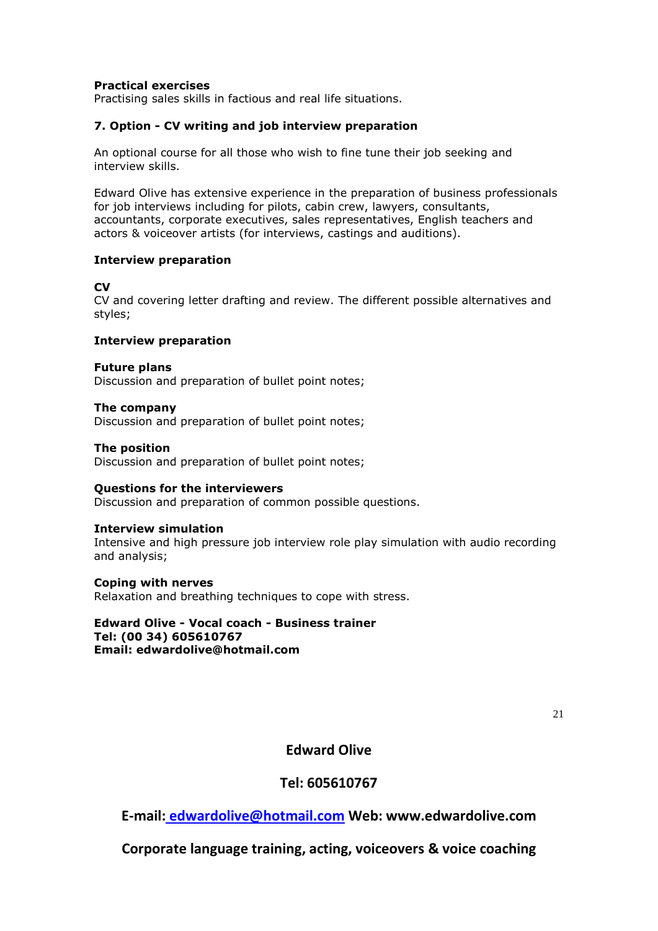# **Practical exercises**

Practising sales skills in factious and real life situations.

# **7. Option - CV writing and job interview preparation**

An optional course for all those who wish to fine tune their job seeking and interview skills.

Edward Olive has extensive experience in the preparation of business professionals for job interviews including for pilots, cabin crew, lawyers, consultants, accountants, corporate executives, sales representatives, English teachers and actors & voiceover artists (for interviews, castings and auditions).

# **Interview preparation**

# **CV**

CV and covering letter drafting and review. The different possible alternatives and styles;

# **Interview preparation**

#### **Future plans** Discussion and preparation of bullet point notes;

**The company** Discussion and preparation of bullet point notes;

# **The position**

Discussion and preparation of bullet point notes;

# **Questions for the interviewers**

Discussion and preparation of common possible questions.

#### **Interview simulation**

Intensive and high pressure job interview role play simulation with audio recording and analysis;

# **Coping with nerves**

Relaxation and breathing techniques to cope with stress.

# **Edward Olive - Vocal coach - Business trainer Tel: [\(00 34\) 605610767](tel:605610767)**

**Email: [edwardolive@hotmail.com](mailto:edwardolive@hotmail.com)**

21

# **Edward Olive**

# **Tel: 605610767**

**E-mail: [edwardolive@hotmail.com](mailto:Edwardolive@hotmail.com) Web: www.edwardolive.com**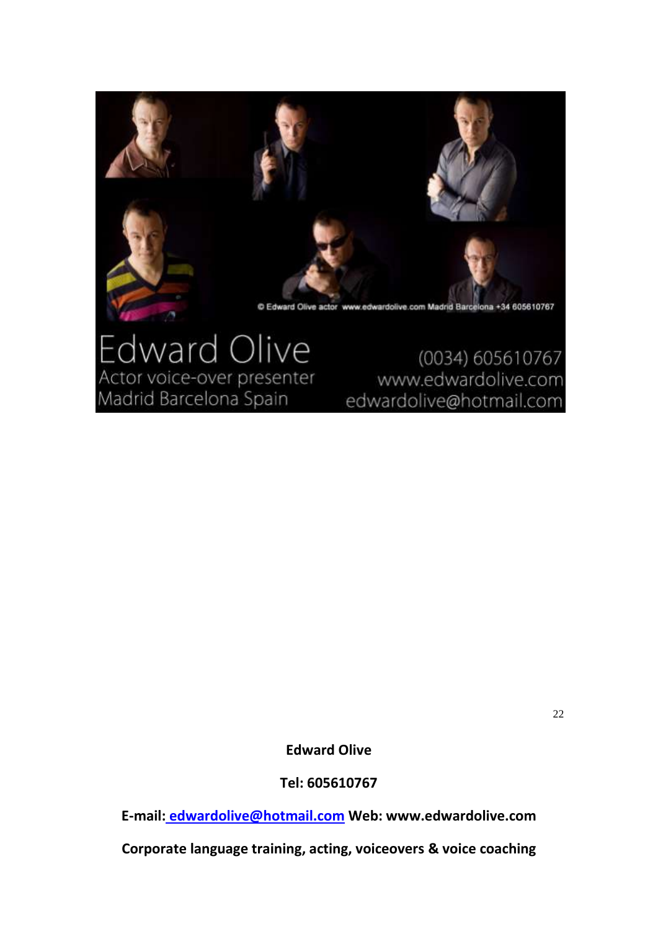

# ward Olive Actor voice-over presenter Madrid Barcelona Spain

(0034) 605610767 www.edwardolive.com edwardolive@hotmail.com

22

**Edward Olive** 

**Tel: 605610767**

**E-mail: [edwardolive@hotmail.com](mailto:Edwardolive@hotmail.com) Web: www.edwardolive.com**